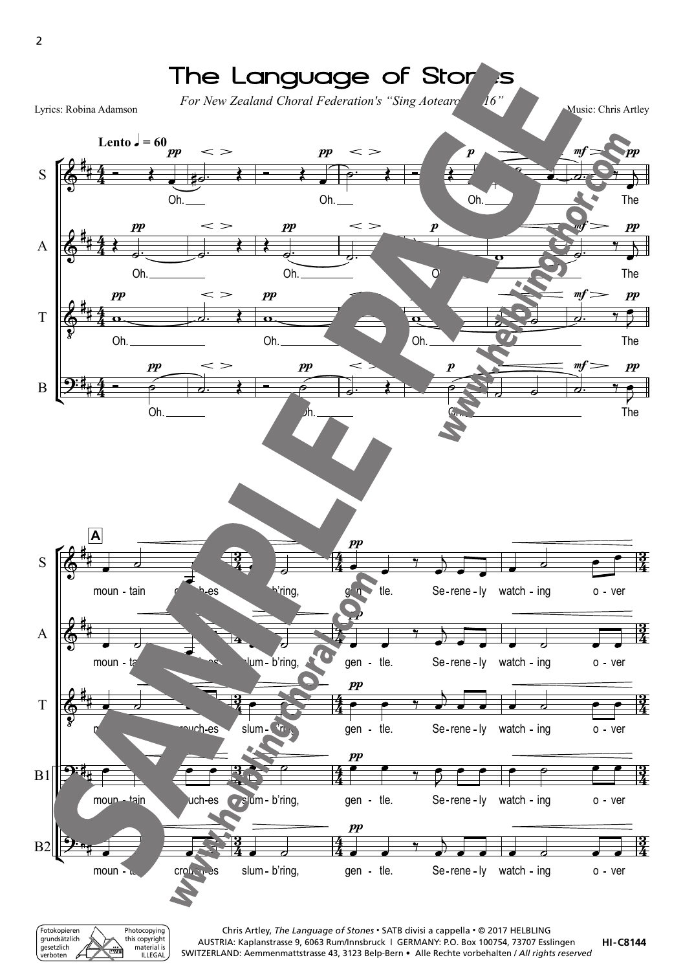

Fotokopieren grundsätzlich gesetzlich verboten Photocopying this copyright material is ILLEGAL

2

Chris Artley, *The Language of Stones* • SATB divisi a cappella • © 2017 HELBLING AUSTRIA: Kaplanstrasse 9, 6063 Rum/Innsbruck | GERMANY: P.O. Box 100754, 73707 Esslingen SWITZERLAND: Aemmenmattstrasse 43, 3123 Belp-Bern • Alle Rechte vorbehalten / *All rights reserved*

**HI -C8144**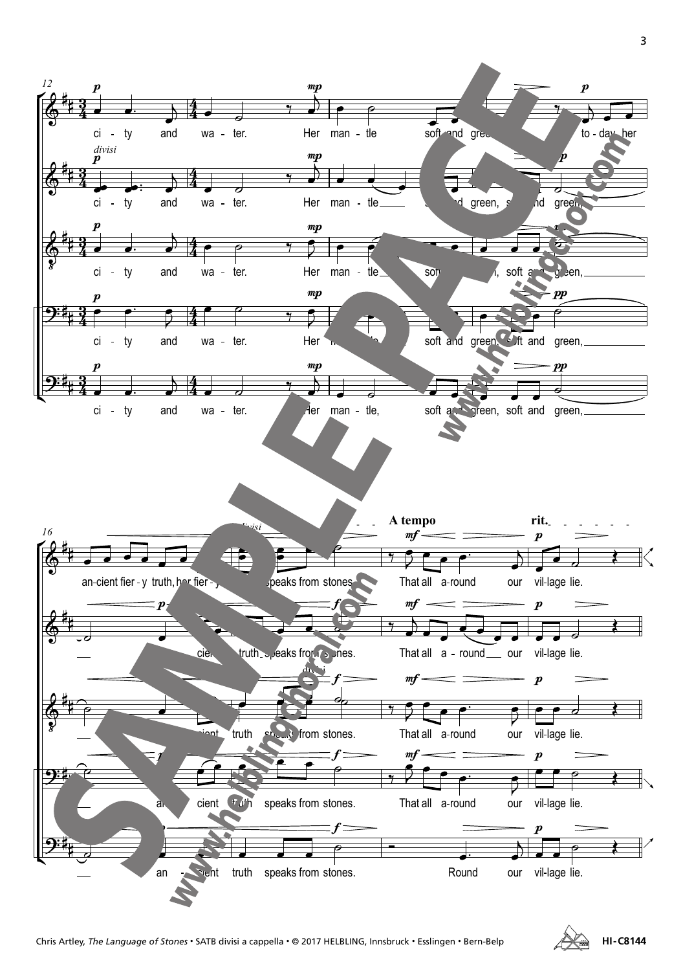

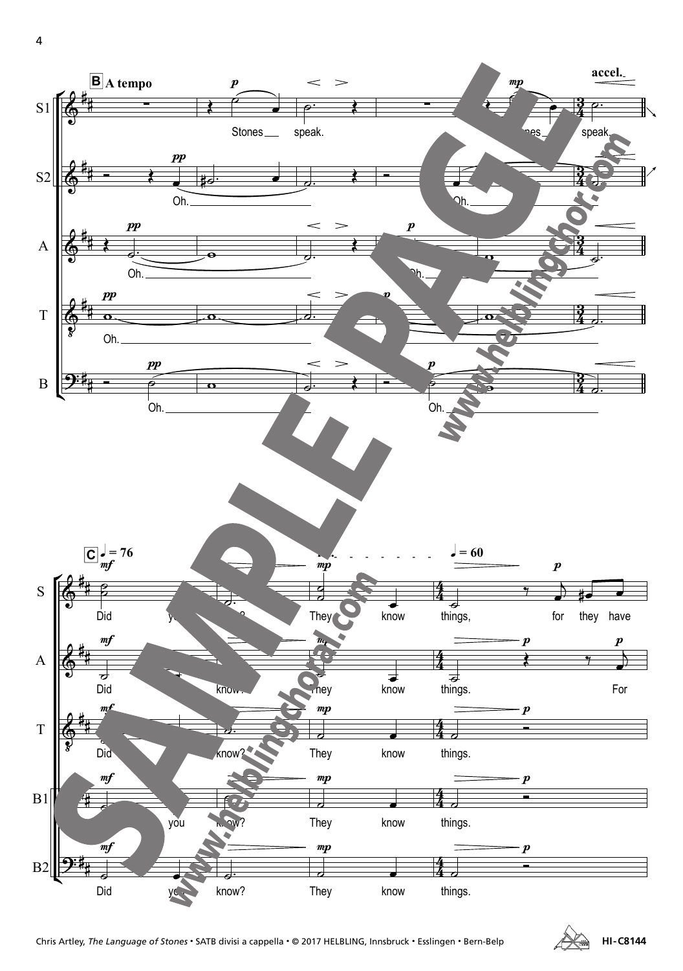4



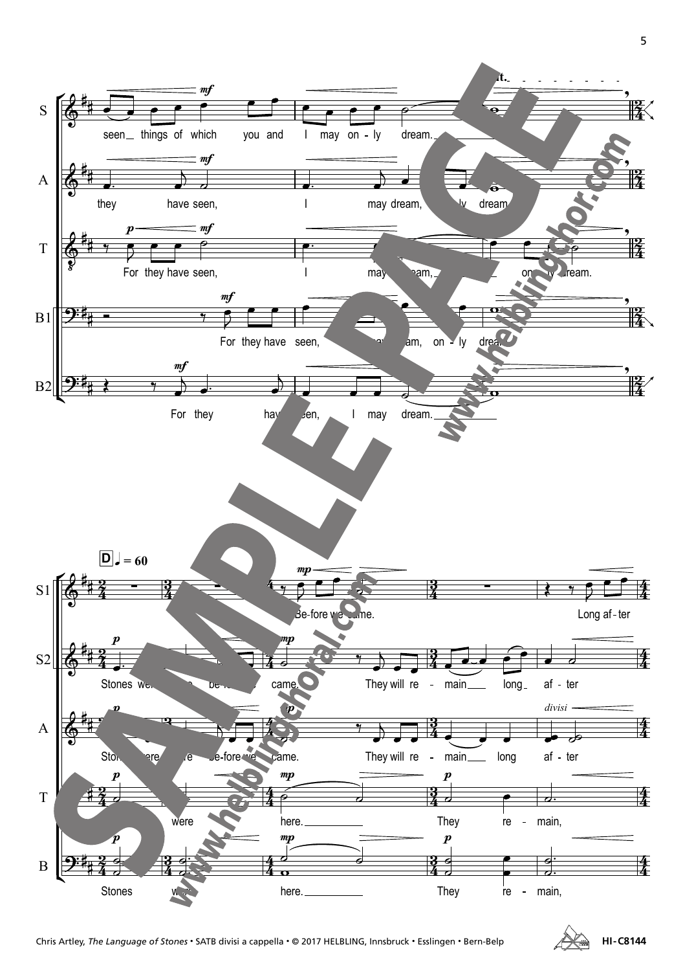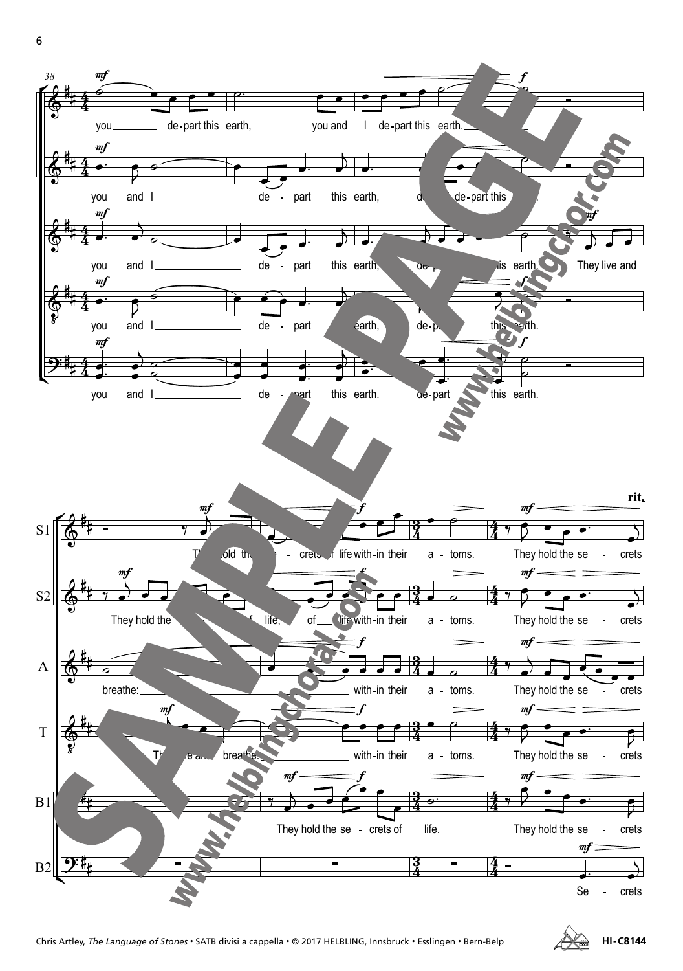

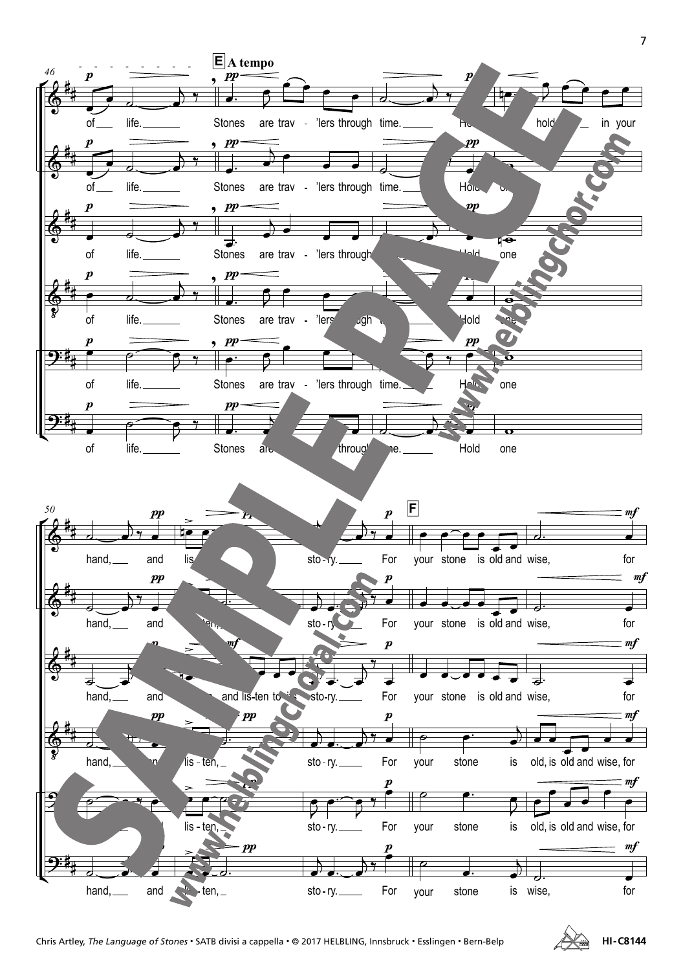

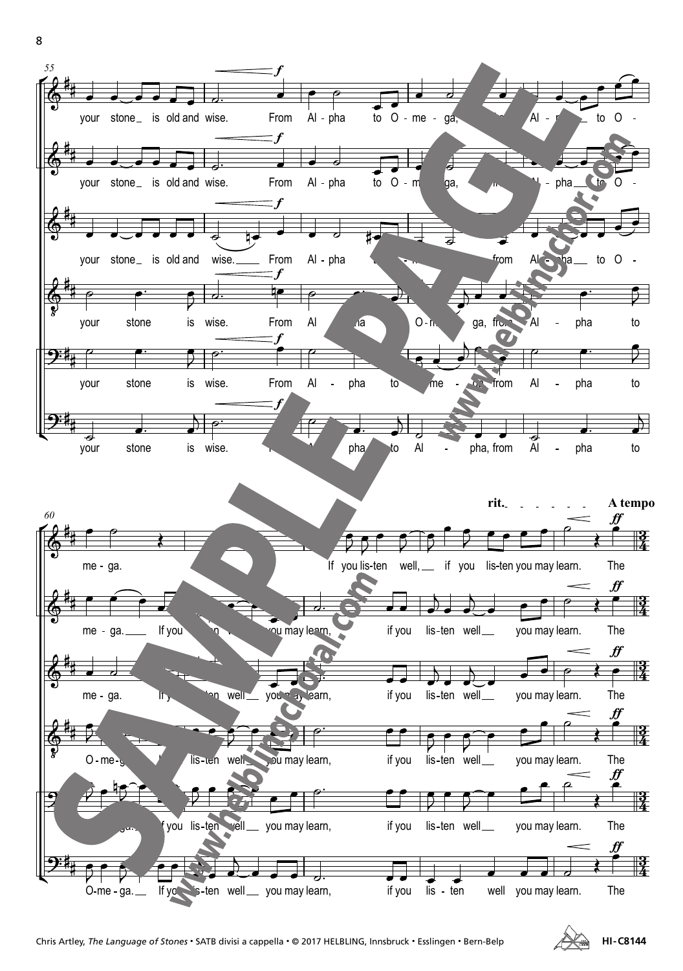